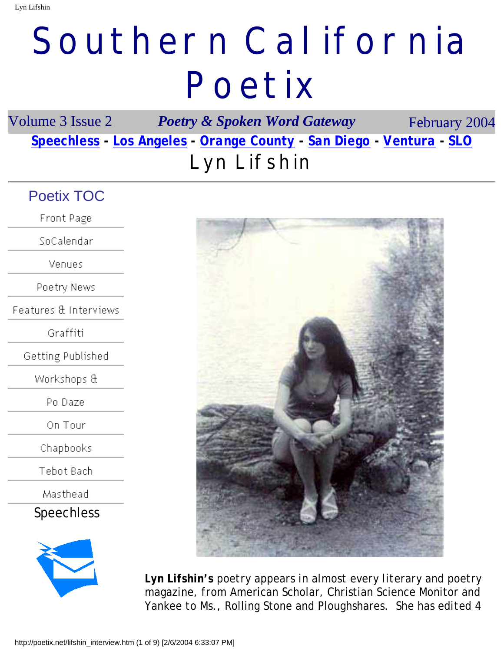# **Southern California Poetix**

Volume 3 Issue 2 *Poetry & Spoken Word Gateway* February 2004 *[Speechless](http://poetix.net/magazine/index.htm) - [Los Angeles](http://poetix.net/los_angeles.htm) - [Orange County](http://poetix.net/orange_county.htm) - [San Diego](http://poetix.net/san_diego.htm) - [Ventura](http://poetix.net/ventura_county.htm) - [SLO](http://poetix.net/slo_po.htm)* **Lyn Lifshin**

### Poetix TOC

**Front Page** 

SoCalendar

Venues

Poetry News

Features & Interviews

Graffiti

Getting Published

Workshops &

Po Daze

On Tour

Chapbooks

Tebot Bach

Masthead

[Speechless](http://poetix.net/magazine/index.htm)





*Lyn Lifshin's poetry appears in almost every literary and poetry magazine, from* American Scholar, Christian Science Monitor *and*  Yankee *to* Ms., Rolling Stone *and* Ploughshares*. She has edited 4*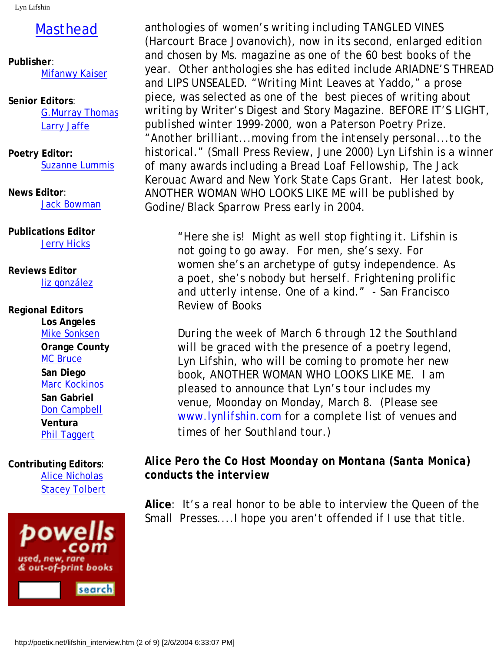Lyn Lifshin

## [Masthead](file:///D:/My%20Documents/My%20Webs/poetix/contact.htm)

**Publisher**: [Mifanwy Kaiser](mailto:mifanwy@poetix.net)

**Senior Editors**: [G.Murray Thomas](mailto:murray@poetix.net) [Larry Jaffe](http://www.larryjaffe.com/)

**Poetry Editor:** [Suzanne Lummis](mailto:suzanne@poetix.net)

**News Editor**: [Jack Bowman](mailto:jack@poetix.net)

**Publications Editor [Jerry Hicks](http://poetix.net/get_published.htm)** 

**Reviews Editor** [liz gonzález](mailto:liz@poetix.net)

#### **Regional Editors Los Angeles** [Mike Sonksen](mailto:mike@poetix.net) **Orange County** [MC Bruce](http://poetix.net/mc_bruce.htm) **San Diego** [Marc Kockinos](http://poetix.net/san_diego.htm) **San Gabriel** [Don Campbell](http://poetix.net/san_gabriel.htm) **Ventura** [Phil Taggert](http://poetix.net/ventura_county.htm)

**Contributing Editors**: [Alice Nicholas](mailto:alice@poetix.net) [Stacey Tolbert](mailto:stacey@poetix.net)



*anthologies of women's writing including TANGLED VINES (Harcourt Brace Jovanovich), now in its second, enlarged edition and chosen by* Ms. *magazine as one of the 60 best books of the year. Other anthologies she has edited include* ARIADNE'S THREAD *and* LIPS UNSEALED*. "Writing Mint Leaves at Yaddo," a prose piece, was selected as one of the best pieces of writing about writing by* Writer's Digest *and* Story Magazine*.* BEFORE IT'S LIGHT*, published winter 1999-2000, won a Paterson Poetry Prize. "Another brilliant...moving from the intensely personal...to the historical." (*Small Press Review, *June 2000) Lyn Lifshin is a winner of many awards including a Bread Loaf Fellowship, The Jack Kerouac Award and New York State Caps Grant. Her latest book,*  ANOTHER WOMAN WHO LOOKS LIKE ME *will be published by Godine/Black Sparrow Press early in 2004.*

*"Here she is! Might as well stop fighting it. Lifshin is not going to go away. For men, she's sexy. For women she's an archetype of gutsy independence. As a poet, she's nobody but herself. Frightening prolific and utterly intense. One of a kind."* - San Francisco Review of Books

*During the week of March 6 through 12 the Southland will be graced with the presence of a poetry legend, Lyn Lifshin, who will be coming to promote her new book,* ANOTHER WOMAN WHO LOOKS LIKE ME*. I am pleased to announce that Lyn's tour includes my venue, Moonday on Monday, March 8. (Please see [www.lynlifshin.com](http://www.lynlifshin.com/) for a complete list of venues and times of her Southland tour.)*

#### *Alice Pero the Co Host Moonday on Montana (Santa Monica) conducts the interview*

**Alice**: It's a real honor to be able to interview the Queen of the Small Presses....I hope you aren't offended if I use that title.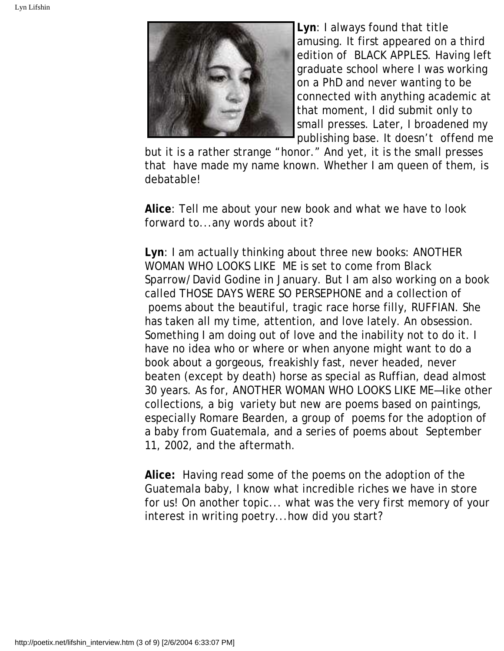

**Lyn**: I always found that title amusing. It first appeared on a third edition of BLACK APPLES. Having left graduate school where I was working on a PhD and never wanting to be connected with anything academic at that moment, I did submit only to small presses. Later, I broadened my publishing base. It doesn't offend me

but it is a rather strange "honor." And yet, it is the small presses that have made my name known. Whether I am queen of them, is debatable!

**Alice**: Tell me about your new book and what we have to look forward to...any words about it?

**Lyn**: I am actually thinking about three new books: ANOTHER WOMAN WHO LOOKS LIKE ME is set to come from Black Sparrow/David Godine in January. But I am also working on a book called THOSE DAYS WERE SO PERSEPHONE and a collection of poems about the beautiful, tragic race horse filly, RUFFIAN. She has taken all my time, attention, and love lately. An obsession. Something I am doing out of love and the inability not to do it. I have no idea who or where or when anyone might want to do a book about a gorgeous, freakishly fast, never headed, never beaten (except by death) horse as special as Ruffian, dead almost 30 years. As for, ANOTHER WOMAN WHO LOOKS LIKE ME—like other collections, a big variety but new are poems based on paintings, especially Romare Bearden, a group of poems for the adoption of a baby from Guatemala, and a series of poems about September 11, 2002, and the aftermath.

**Alice:** Having read some of the poems on the adoption of the Guatemala baby, I know what incredible riches we have in store for us! On another topic... what was the very first memory of your interest in writing poetry...how did you start?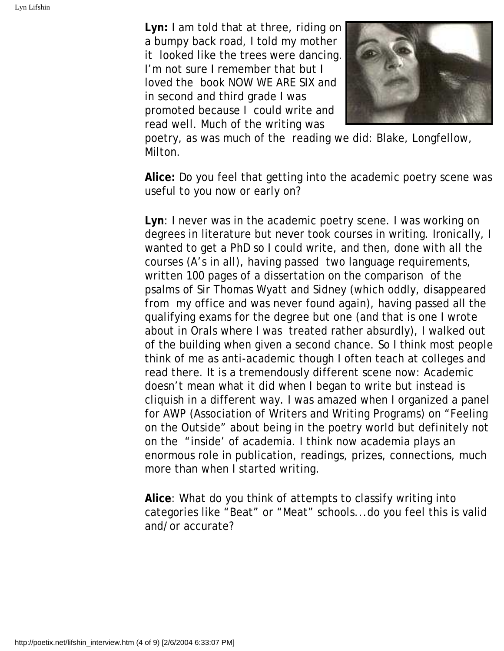**Lyn:** I am told that at three, riding on a bumpy back road, I told my mother it looked like the trees were dancing. I'm not sure I remember that but I loved the book NOW WE ARE SIX and in second and third grade I was promoted because I could write and read well. Much of the writing was



poetry, as was much of the reading we did: Blake, Longfellow, Milton.

**Alice:** Do you feel that getting into the academic poetry scene was useful to you now or early on?

**Lyn**: I never *was* in the academic poetry scene. I was working on degrees in literature but never took courses in writing. Ironically, I wanted to get a PhD so I could write, and then, done with all the courses (A's in all), having passed two language requirements, written 100 pages of a dissertation on the comparison of the psalms of Sir Thomas Wyatt and Sidney (which oddly, disappeared from my office and was never found again), having passed all the qualifying exams for the degree but one (and that is one I wrote about in Orals where I was treated rather absurdly), I walked out of the building when given a second chance. So I think most people think of me as anti-academic though I often teach at colleges and read there. It is a tremendously different scene now: Academic doesn't mean what it did when I began to write but instead is cliquish in a different way. I was amazed when I organized a panel for AWP (Association of Writers and Writing Programs) on "Feeling on the Outside" about being in the poetry world but definitely not on the "inside' of academia. I think now academia plays an enormous role in publication, readings, prizes, connections, much more than when I started writing.

**Alice**: What do you think of attempts to classify writing into categories like "Beat" or "Meat" schools...do you feel this is valid and/or accurate?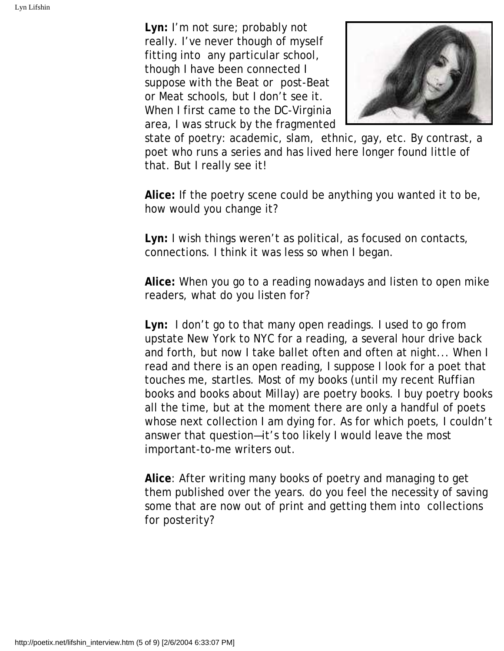**Lyn:** I'm not sure; probably not really. I've never though of myself fitting into any particular school, though I have been connected I suppose with the Beat or post-Beat or Meat schools, but I don't see it. When I first came to the DC-Virginia area, I was struck by the fragmented



state of poetry: academic, slam, ethnic, gay, etc. By contrast, a poet who runs a series and has lived here longer found little of that. But I really see it!

**Alice:** If the poetry scene could be anything you wanted it to be, how would you change it?

**Lyn:** I wish things weren't as political, as focused on contacts, connections. I think it was less so when I began.

**Alice:** When you go to a reading nowadays and listen to open mike readers, what do you listen for?

**Lyn:** I don't go to that many open readings. I used to go from upstate New York to NYC for a reading, a several hour drive back and forth, but now I take ballet often and often at night... When I read and there is an open reading, I suppose I look for a poet that touches me, startles. Most of my books (until my recent Ruffian books and books about Millay) are poetry books. I buy poetry books all the time, but at the moment there are only a handful of poets whose next collection I am dying for. As for which poets, I couldn't answer that question—it's too likely I would leave the most important-to-me writers out.

**Alice**: After writing many books of poetry and managing to get them published over the years. do you feel the necessity of saving some that are now out of print and getting them into collections for posterity?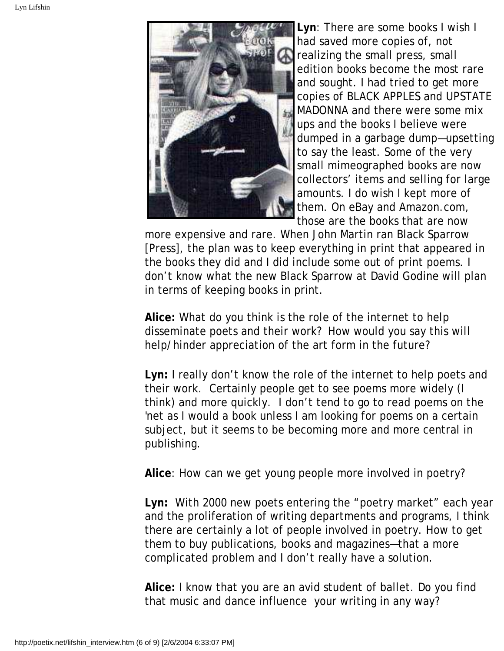

**Lyn**: There are some books I wish I had saved more copies of, not realizing the small press, small edition books become the most rare and sought. I had tried to get more copies of BLACK APPLES and UPSTATE MADONNA and there were some mix ups and the books I believe were dumped in a garbage dump—upsetting to say the least. Some of the very small mimeographed books are now collectors' items and selling for large amounts. I do wish I kept more of them. On eBay and Amazon.com, those are the books that are now

more expensive and rare. When John Martin ran Black Sparrow [Press], the plan was to keep everything in print that appeared in the books they did and I did include some out of print poems. I don't know what the new Black Sparrow at David Godine will plan in terms of keeping books in print.

**Alice:** What do you think is the role of the internet to help disseminate poets and their work? How would you say this will help/hinder appreciation of the art form in the future?

**Lyn:** I really don't know the role of the internet to help poets and their work. Certainly people get to see poems more widely (I think) and more quickly. I don't tend to go to read poems on the 'net as I would a book unless I am looking for poems on a certain subject, but it seems to be becoming more and more central in publishing.

**Alice**: How can we get young people more involved in poetry?

**Lyn:** With 2000 new poets entering the "poetry market" each year and the proliferation of writing departments and programs, I think there are certainly a lot of people involved in poetry. How to get them to buy publications, books and magazines—that a more complicated problem and I don't really have a solution.

**Alice:** I know that you are an avid student of ballet. Do you find that music and dance influence your writing in any way?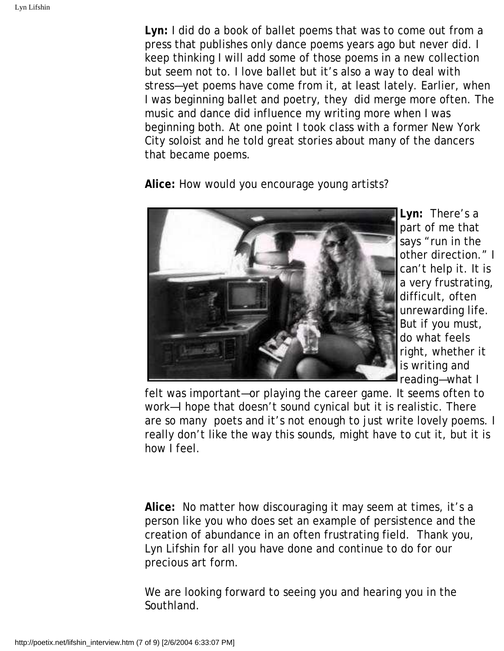**Lyn:** I did do a book of ballet poems that was to come out from a press that publishes only dance poems years ago but never did. I keep thinking I will add some of those poems in a new collection but seem not to. I love ballet but it's also a way to deal with stress—yet poems have come from it, at least lately. Earlier, when I was beginning ballet and poetry, they did merge more often. The music and dance did influence my writing more when I was beginning both. At one point I took class with a former New York City soloist and he told great stories about many of the dancers that became poems.

**Alice:** How would you encourage young artists?



**Lyn:** There's a part of me that says "run in the other direction." I can't help it. It is a very frustrating, difficult, often unrewarding life. But if you must, do what feels right, whether it is writing and reading—what I

felt was important—or playing the career game. It seems often to work—I hope that doesn't sound cynical but it is realistic. There are so many poets and it's not enough to just write lovely poems. I really don't like the way this sounds, might have to cut it, but it is how I feel.

**Alice:** No matter how discouraging it may seem at times, it's a person like you who does set an example of persistence and the creation of abundance in an often frustrating field. Thank you, Lyn Lifshin for all you have done and continue to do for our precious art form.

We are looking forward to seeing you and hearing you in the Southland.